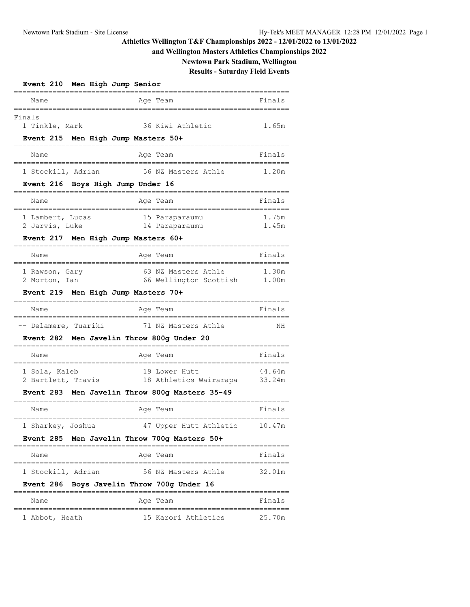# **Athletics Wellington T&F Championships 2022 - 12/01/2022 to 13/01/2022**

## **and Wellington Masters Athletics Championships 2022**

**Newtown Park Stadium, Wellington**

# **Results - Saturday Field Events**

| Event 210 Men High Jump Senior                           |        |  |
|----------------------------------------------------------|--------|--|
| Name<br>Age Team                                         | Finals |  |
| Finals                                                   |        |  |
| 36 Kiwi Athletic<br>1 Tinkle, Mark                       | 1.65m  |  |
| Event 215 Men High Jump Masters 50+                      |        |  |
| Name<br>Age Team                                         | Finals |  |
| 1 Stockill, Adrian<br>56 NZ Masters Athle                | 1.20m  |  |
| Event 216 Boys High Jump Under 16                        |        |  |
| Name<br>Aqe Team                                         | Finals |  |
| 1 Lambert, Lucas<br>15 Paraparaumu                       | 1.75m  |  |
| 2 Jarvis, Luke<br>14 Paraparaumu                         | 1.45m  |  |
| Event 217 Men High Jump Masters 60+                      |        |  |
| Name<br>Aqe Team                                         | Finals |  |
| 63 NZ Masters Athle<br>1 Rawson, Gary                    | 1.30m  |  |
| 66 Wellington Scottish<br>2 Morton, Ian                  | 1.00m  |  |
| <b>Event 219</b><br>Men High Jump Masters 70+            |        |  |
| Name<br>Age Team                                         | Finals |  |
| 71 NZ Masters Athle                                      |        |  |
| -- Delamere, Tuariki                                     | ΝH     |  |
| Men Javelin Throw 800g Under 20<br><b>Event 282</b>      |        |  |
| Name<br>Age Team                                         | Finals |  |
| 1 Sola, Kaleb<br>19 Lower Hutt                           | 44.64m |  |
| 18 Athletics Wairarapa 33.24m<br>2 Bartlett, Travis      |        |  |
| Men Javelin Throw 800q Masters 35-49<br><b>Event 283</b> |        |  |
| Name<br>Age Team                                         | Finals |  |
| 1 Sharkey, Joshua<br>47 Upper Hutt Athletic              | 10.47m |  |
| Event 285 Men Javelin Throw 700g Masters 50+             |        |  |
| Name<br>Age Team                                         | Finals |  |
| 56 NZ Masters Athle<br>1 Stockill, Adrian                | 32.01m |  |
| Boys Javelin Throw 700g Under 16<br><b>Event 286</b>     |        |  |
| Name<br>Age Team                                         | Finals |  |